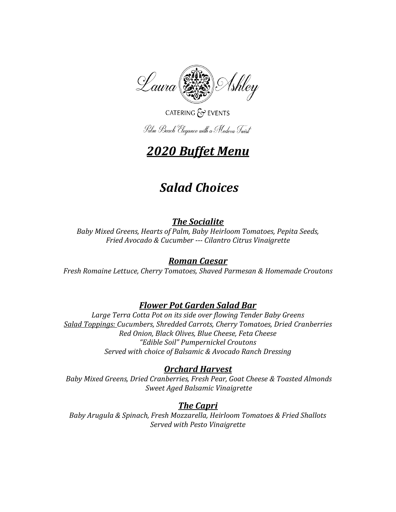

## CATERING & EVENTS

Palm Beach Elegance with a Modern Twist

# *2020 Buffet Menu*

# *Salad Choices*

## *The Socialite*

*Baby Mixed Greens, Hearts of Palm, Baby Heirloom Tomatoes, Pepita Seeds, Fried Avocado & Cucumber --- Cilantro Citrus Vinaigrette*

## *Roman Caesar*

*Fresh Romaine Lettuce, Cherry Tomatoes, Shaved Parmesan & Homemade Croutons*

## *Flower Pot Garden Salad Bar*

*Large Terra Cotta Pot on its side over flowing Tender Baby Greens Salad Toppings: Cucumbers, Shredded Carrots, Cherry Tomatoes, Dried Cranberries Red Onion, Black Olives, Blue Cheese, Feta Cheese "Edible Soil" Pumpernickel Croutons Served with choice of Balsamic & Avocado Ranch Dressing*

### *Orchard Harvest*

*Baby Mixed Greens, Dried Cranberries, Fresh Pear, Goat Cheese & Toasted Almonds Sweet Aged Balsamic Vinaigrette*

## *The Capri*

*Baby Arugula & Spinach, Fresh Mozzarella, Heirloom Tomatoes & Fried Shallots Served with Pesto Vinaigrette*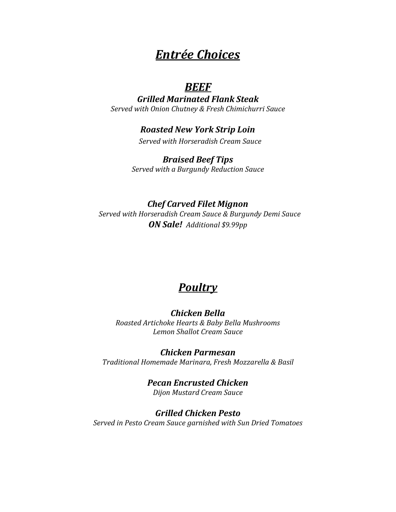## *Entrée Choices*

## *BEEF*

*Grilled Marinated Flank Steak Served with Onion Chutney & Fresh Chimichurri Sauce*

### *Roasted New York Strip Loin*

*Served with Horseradish Cream Sauce*

#### *Braised Beef Tips Served with a Burgundy Reduction Sauce*

*Chef Carved Filet Mignon Served with Horseradish Cream Sauce & Burgundy Demi Sauce ON Sale! Additional \$9.99pp*

## *Poultry*

#### *Chicken Bella Roasted Artichoke Hearts & Baby Bella Mushrooms Lemon Shallot Cream Sauce*

*Chicken Parmesan Traditional Homemade Marinara, Fresh Mozzarella & Basil* 

> *Pecan Encrusted Chicken Dijon Mustard Cream Sauce*

*Grilled Chicken Pesto Served in Pesto Cream Sauce garnished with Sun Dried Tomatoes*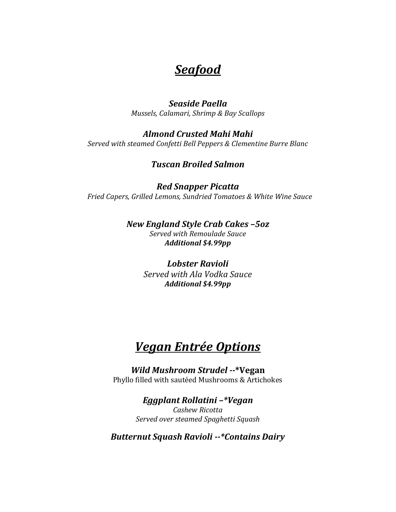## *Seafood*

#### *Seaside Paella Mussels, Calamari, Shrimp & Bay Scallops*

## *Almond Crusted Mahi Mahi*

*Served with steamed Confetti Bell Peppers & Clementine Burre Blanc*

### *Tuscan Broiled Salmon*

*Red Snapper Picatta Fried Capers, Grilled Lemons, Sundried Tomatoes & White Wine Sauce*

> *New England Style Crab Cakes –5oz Served with Remoulade Sauce Additional \$4.99pp*

> > *Lobster Ravioli Served with Ala Vodka Sauce Additional \$4.99pp*

# *Vegan Entrée Options*

*Wild Mushroom Strudel --***\*Vegan** Phyllo filled with sautéed Mushrooms & Artichokes

> *Eggplant Rollatini –\*Vegan Cashew Ricotta Served over steamed Spaghetti Squash*

*Butternut Squash Ravioli --\*Contains Dairy*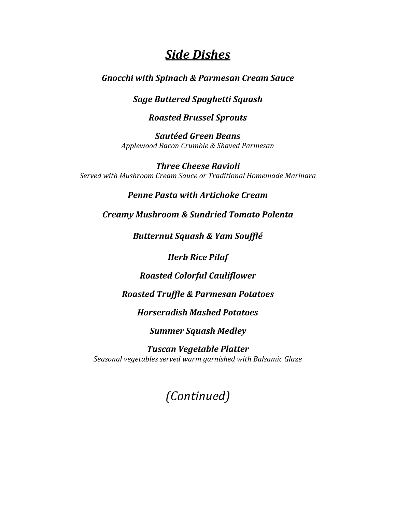## *Side Dishes*

#### *Gnocchi with Spinach & Parmesan Cream Sauce*

#### *Sage Buttered Spaghetti Squash*

#### *Roasted Brussel Sprouts*

*Sautéed Green Beans Applewood Bacon Crumble & Shaved Parmesan*

*Three Cheese Ravioli Served with Mushroom Cream Sauce or Traditional Homemade Marinara*

### *Penne Pasta with Artichoke Cream*

*Creamy Mushroom & Sundried Tomato Polenta* 

*Butternut Squash & Yam Soufflé* 

*Herb Rice Pilaf* 

*Roasted Colorful Cauliflower*

*Roasted Truffle & Parmesan Potatoes*

*Horseradish Mashed Potatoes*

*Summer Squash Medley*

*Tuscan Vegetable Platter Seasonal vegetables served warm garnished with Balsamic Glaze*

*(Continued)*